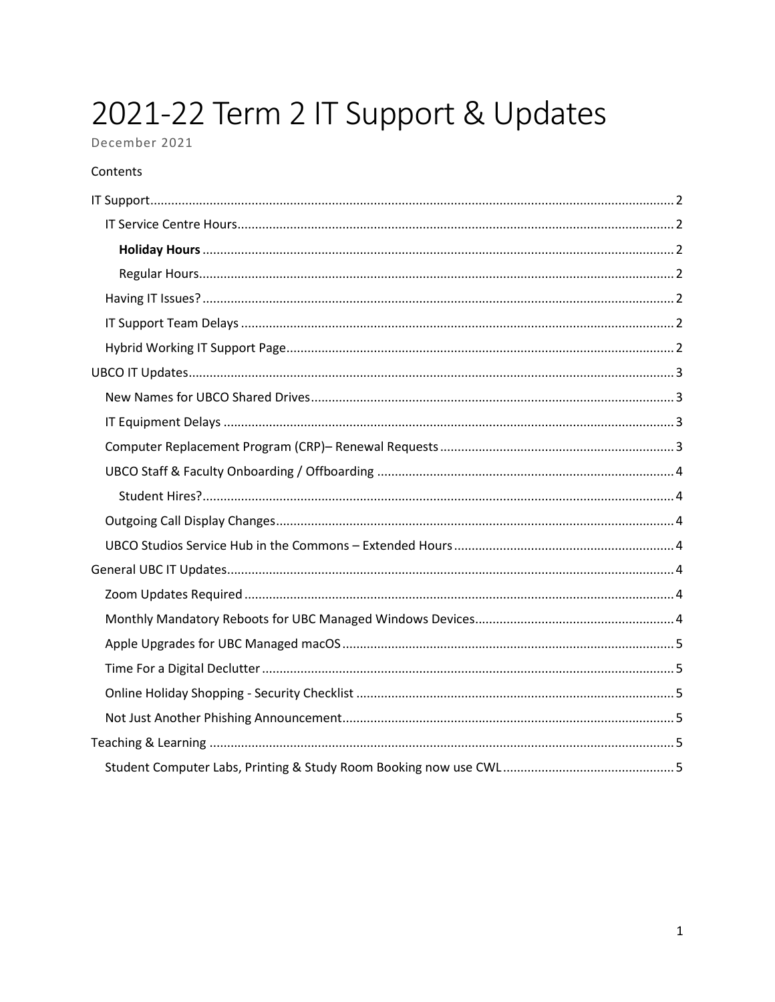# 2021-22 Term 2 IT Support & Updates

## December 2021

#### Contents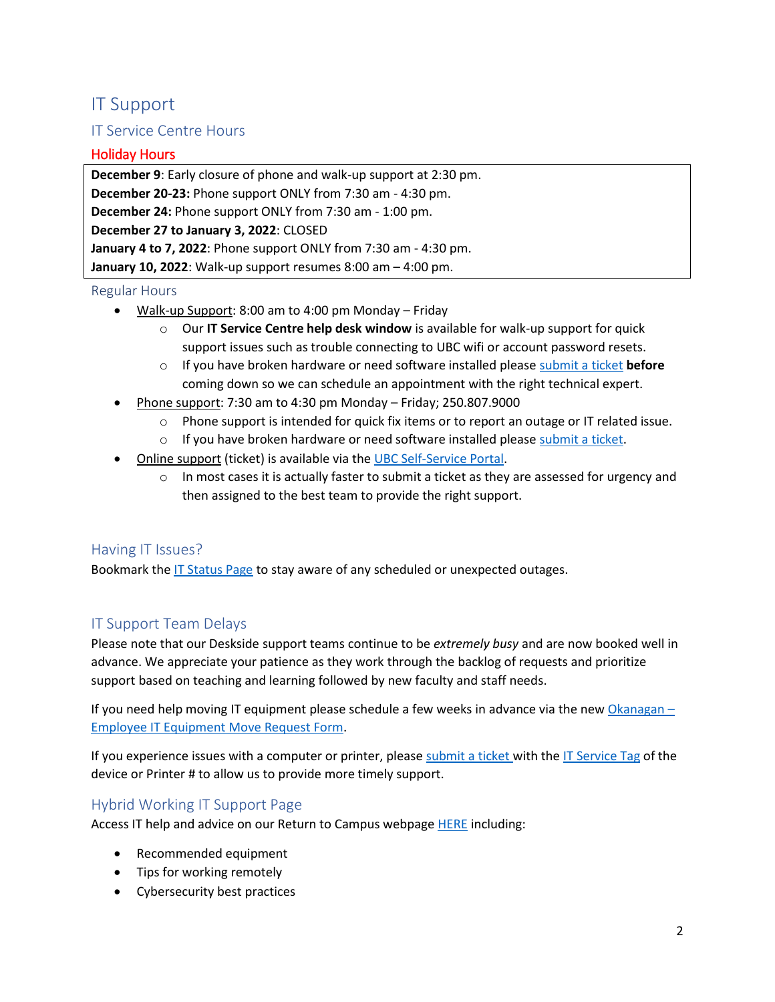# <span id="page-1-0"></span>IT Support

## <span id="page-1-1"></span>IT Service Centre Hours

#### <span id="page-1-2"></span>Holiday Hours

**December 9**: Early closure of phone and walk-up support at 2:30 pm. **December 20-23:** Phone support ONLY from 7:30 am - 4:30 pm. **December 24:** Phone support ONLY from 7:30 am - 1:00 pm. **December 27 to January 3, 2022**: CLOSED **January 4 to 7, 2022**: Phone support ONLY from 7:30 am - 4:30 pm. **January 10, 2022**: Walk-up support resumes 8:00 am – 4:00 pm.

#### <span id="page-1-3"></span>Regular Hours

- Walk-up Support: 8:00 am to 4:00 pm Monday Friday
	- o Our **IT Service Centre help desk window** is available for walk-up support for quick support issues such as trouble connecting to UBC wifi or account password resets.
	- o If you have broken hardware or need software installed please [submit a ticket](https://ubc.service-now.com/selfservice?id=sc_cat_item_v2&sys_id=28835cdb6dc334006da5c8aceaa441ee) **before** coming down so we can schedule an appointment with the right technical expert.
- Phone support: 7:30 am to 4:30 pm Monday Friday; 250.807.9000
	- $\circ$  Phone support is intended for quick fix items or to report an outage or IT related issue.
	- $\circ$  If you have broken hardware or need software installed please [submit a ticket.](https://ubc.service-now.com/selfservice?id=sc_cat_item_v2&sys_id=28835cdb6dc334006da5c8aceaa441ee)
- Online support (ticket) is available via th[e UBC Self-Service Portal.](http://ubc.service-now.com/selfservice)
	- $\circ$  In most cases it is actually faster to submit a ticket as they are assessed for urgency and then assigned to the best team to provide the right support.

#### <span id="page-1-4"></span>Having IT Issues?

Bookmark the [IT Status Page](https://status.it.ubc.ca/) to stay aware of any scheduled or unexpected outages.

## <span id="page-1-5"></span>IT Support Team Delays

Please note that our Deskside support teams continue to be *extremely busy* and are now booked well in advance. We appreciate your patience as they work through the backlog of requests and prioritize support based on teaching and learning followed by new faculty and staff needs.

If you need help moving IT equipment please schedule a few weeks in advance via the new [Okanagan](https://ubc.service-now.com/selfservice?id=sc_category&sys_id=db1d5ad2db94c740e95a3c8f9d9619b9)  $-$ [Employee IT Equipment Move Request Form.](https://ubc.service-now.com/selfservice?id=sc_category&sys_id=db1d5ad2db94c740e95a3c8f9d9619b9)

If you experience issues with a computer or printer, pleas[e submit a ticket](https://ubc.service-now.com/selfservice?id=sc_cat_item_v2&sys_id=28835cdb6dc334006da5c8aceaa441ee) with the [IT Service Tag](https://knowit.ok.ubc.ca/article/how-do-i-find-the-service-or-asset-tag-of-my-computer-265.html) of the device or Printer # to allow us to provide more timely support.

#### <span id="page-1-6"></span>Hybrid Working IT Support Page

Access IT help and advice on our Return to Campus webpage [HERE](https://it.ok.ubc.ca/return-to-campus/) including:

- Recommended equipment
- Tips for working remotely
- Cybersecurity best practices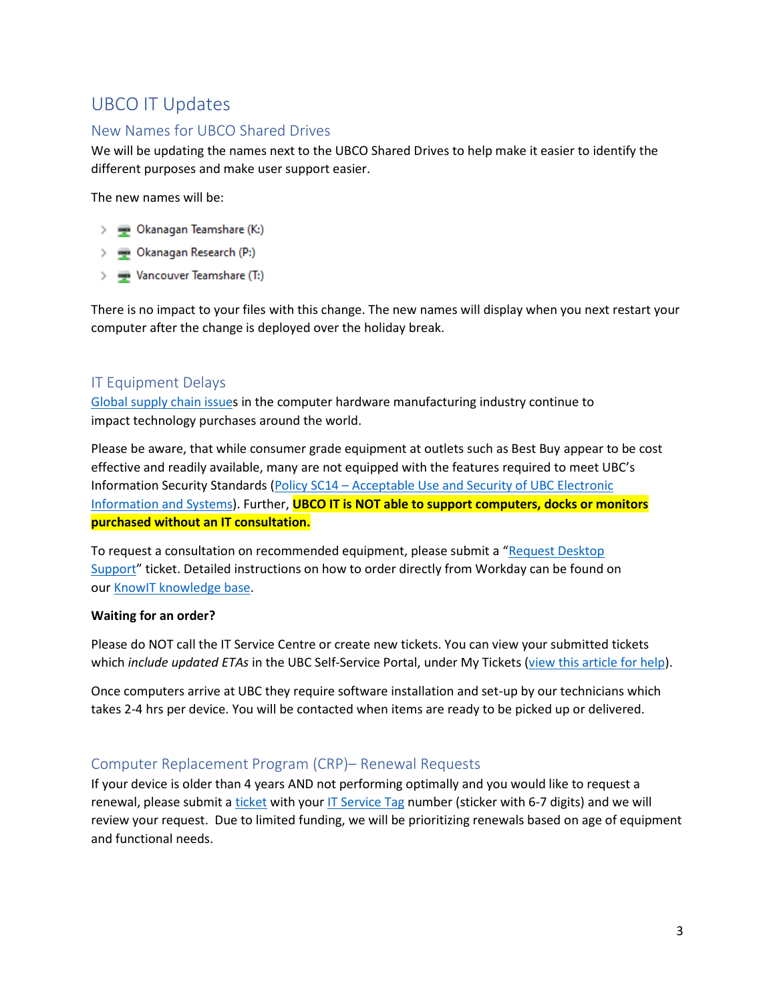# <span id="page-2-0"></span>UBCO IT Updates

#### <span id="page-2-1"></span>New Names for UBCO Shared Drives

We will be updating the names next to the UBCO Shared Drives to help make it easier to identify the different purposes and make user support easier.

The new names will be:

- 
- > Dkanagan Research (P:)
- > vancouver Teamshare (T:)

There is no impact to your files with this change. The new names will display when you next restart your computer after the change is deployed over the holiday break.

#### <span id="page-2-2"></span>IT Equipment Delays

[Global supply chain issues](https://www.wsj.com/articles/chip-shortage-keeps-cios-and-other-tech-leaders-scrambling-11628538919) in the computer hardware manufacturing industry continue to impact technology purchases around the world.

Please be aware, that while consumer grade equipment at outlets such as Best Buy appear to be cost effective and readily available, many are not equipped with the features required to meet UBC's Information Security Standards (Policy SC14 – Acceptable Use and Security of UBC Electronic [Information and Systems\)](https://universitycounsel-2015.sites.olt.ubc.ca/files/2019/08/Information-Systems-Policy_SC14.pdf). Further, **UBCO IT is NOT able to support computers, docks or monitors purchased without an IT consultation.** 

To request a consultation on recommended equipment, please submit a "[Request Desktop](https://ubc.service-now.com/selfservice?id=sc_cat_item_v2&sys_id=cc7f5fb9874e0100bbee70406d434df9)  [Support](https://ubc.service-now.com/selfservice?id=sc_cat_item_v2&sys_id=cc7f5fb9874e0100bbee70406d434df9)" ticket. Detailed instructions on how to order directly from Workday can be found on our KnowIT [knowledge base.](https://knowit.ok.ubc.ca/article/how-to-submit-an-it-equipment-consult-or-purchase-request-using-the-ubc-self-service-portal-1098.html)

#### **Waiting for an order?**

Please do NOT call the IT Service Centre or create new tickets. You can view your submitted tickets which *include updated ETAs* in the UBC Self-Service Portal, under My Tickets [\(view this article for help\)](https://knowit.ok.ubc.ca/article/how-to-check-the-status-of-your-tickets-in-the-ubc-self-service-portal-1159.html).

Once computers arrive at UBC they require software installation and set-up by our technicians which takes 2-4 hrs per device. You will be contacted when items are ready to be picked up or delivered.

#### <span id="page-2-3"></span>Computer Replacement Program (CRP)– Renewal Requests

If your device is older than 4 years AND not performing optimally and you would like to request a renewal, please submit a [ticket](https://ubc.service-now.com/selfservice?id=sc_cat_item_v2&sys_id=cc7f5fb9874e0100bbee70406d434df9) with you[r IT Service Tag](https://knowit.ok.ubc.ca/article/how-do-i-find-the-service-or-asset-tag-of-my-computer-265.html) number (sticker with 6-7 digits) and we will review your request. Due to limited funding, we will be prioritizing renewals based on age of equipment and functional needs.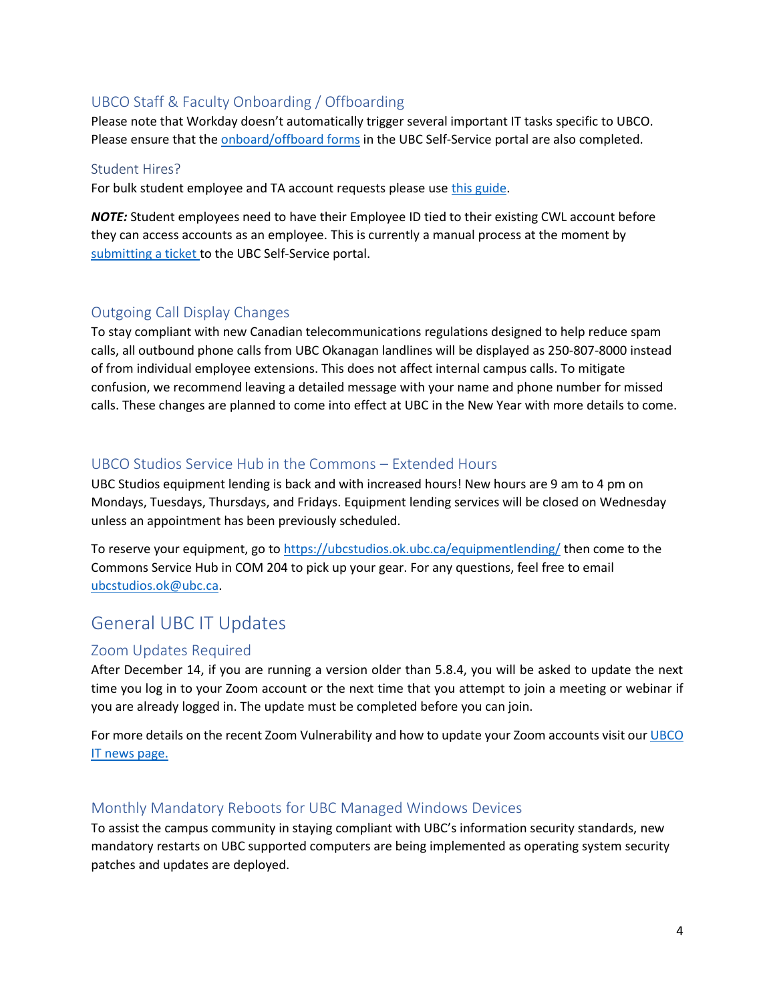#### <span id="page-3-0"></span>UBCO Staff & Faculty Onboarding / Offboarding

Please note that Workday doesn't automatically trigger several important IT tasks specific to UBCO. Please ensure that th[e onboard/offboard forms](https://ubc.service-now.com/selfservice?id=sc_category&sys_id=4fd02edadb94c740e95a3c8f9d9619eb) in the UBC Self-Service portal are also completed.

#### <span id="page-3-1"></span>Student Hires?

For bulk student employee and TA account requests please us[e this guide.](https://knowit.ok.ubc.ca/article/how-to-submit-a-bulk-student-employee-and-ta-account-create-request-1151.html)

*NOTE:* Student employees need to have their Employee ID tied to their existing CWL account before they can access accounts as an employee. This is currently a manual process at the moment by [submitting](https://ubc.service-now.com/selfservice?id=sc_cat_item_v2&sys_id=28835cdb6dc334006da5c8aceaa441ee) a ticket to the UBC Self-Service portal.

#### <span id="page-3-2"></span>Outgoing Call Display Changes

To stay compliant with new Canadian telecommunications regulations designed to help reduce spam calls, all outbound phone calls from UBC Okanagan landlines will be displayed as 250-807-8000 instead of from individual employee extensions. This does not affect internal campus calls. To mitigate confusion, we recommend leaving a detailed message with your name and phone number for missed calls. These changes are planned to come into effect at UBC in the New Year with more details to come.

#### <span id="page-3-3"></span>UBCO Studios Service Hub in the Commons – Extended Hours

UBC Studios equipment lending is back and with increased hours! New hours are 9 am to 4 pm on Mondays, Tuesdays, Thursdays, and Fridays. Equipment lending services will be closed on Wednesday unless an appointment has been previously scheduled.

To reserve your equipment, go to<https://ubcstudios.ok.ubc.ca/equipmentlending/> then come to the Commons Service Hub in COM 204 to pick up your gear. For any questions, feel free to email [ubcstudios.ok@ubc.ca.](mailto:ubcstudios.ok@ubc.ca)

# <span id="page-3-4"></span>General UBC IT Updates

#### <span id="page-3-5"></span>Zoom Updates Required

After December 14, if you are running a version older than 5.8.4, you will be asked to update the next time you log in to your Zoom account or the next time that you attempt to join a meeting or webinar if you are already logged in. The update must be completed before you can join.

For more details on the recent Zoom Vulnerability and how to update your Zoom accounts visit our UBCO [IT news page.](https://it.ok.ubc.ca/2021/12/03/zoom-vulnerability-detected-update-your-account-by-december-14/)

#### <span id="page-3-6"></span>Monthly Mandatory Reboots for UBC Managed Windows Devices

To assist the campus community in staying compliant with UBC's information security standards, new mandatory restarts on UBC supported computers are being implemented as operating system security patches and updates are deployed.